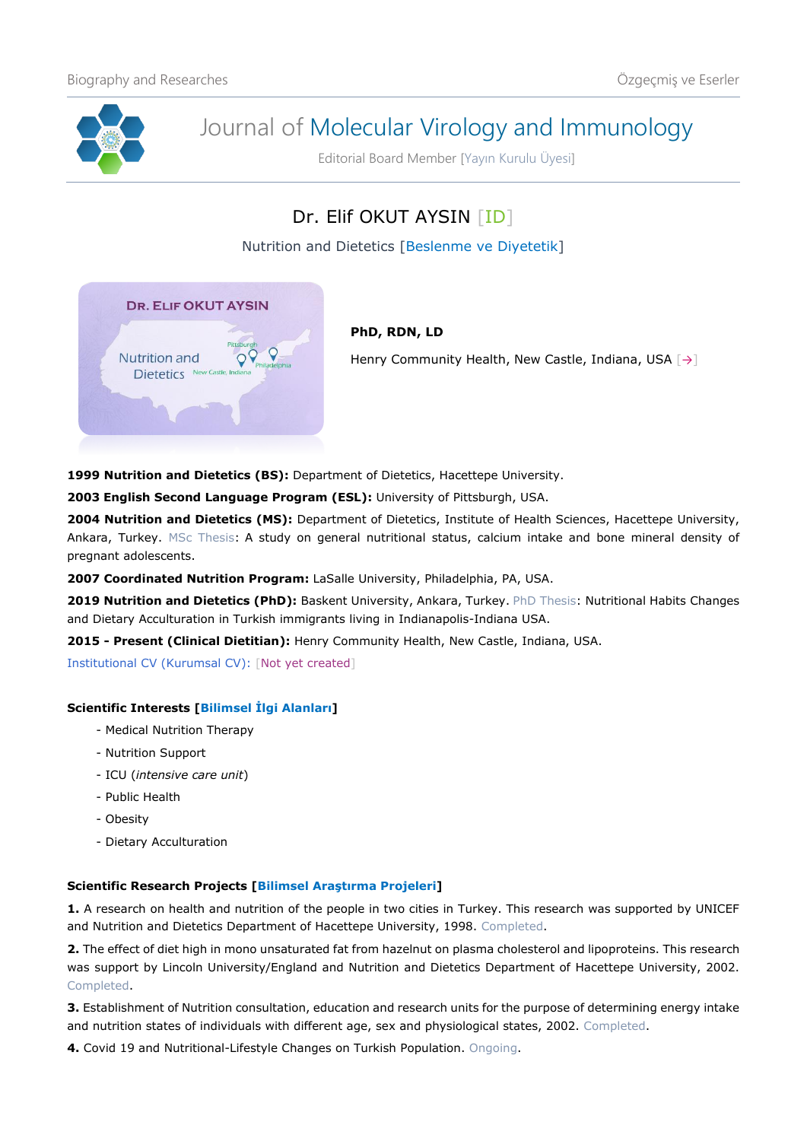

# Journal of Molecular Virology and Immunology

Editorial Board Member [Yayın Kurulu Üyesi]

# Dr. Elif OKUT AYSIN [\[ID\]](https://orcid.org/0000-0003-0813-070X)

Nutrition and Dietetics [Beslenme ve Diyetetik]



# **PhD, RDN, LD**

Henry Community Health, New Castle, Indiana, USA  $\lceil \rightarrow \rceil$ 

**1999 Nutrition and Dietetics (BS):** Department of Dietetics, Hacettepe University.

**2003 English Second Language Program (ESL):** University of Pittsburgh, USA.

**2004 Nutrition and Dietetics (MS):** Department of Dietetics, Institute of Health Sciences, Hacettepe University, Ankara, Turkey. MSc Thesis: A study on general nutritional status, calcium intake and bone mineral density of pregnant adolescents.

**2007 Coordinated Nutrition Program:** LaSalle University, Philadelphia, PA, USA.

**2019 Nutrition and Dietetics (PhD):** Baskent University, Ankara, Turkey. PhD Thesis: Nutritional Habits Changes and Dietary Acculturation in Turkish immigrants living in Indianapolis-Indiana USA.

**2015 - Present (Clinical Dietitian):** Henry Community Health, New Castle, Indiana, USA.

Institutional CV (Kurumsal CV): [Not yet created]

## **Scientific Interests [Bilimsel İlgi Alanları]**

- Medical Nutrition Therapy
- Nutrition Support
- ICU (*intensive care unit*)
- Public Health
- Obesity
- Dietary Acculturation

## **Scientific Research Projects [Bilimsel Araştırma Projeleri]**

**1.** A research on health and nutrition of the people in two cities in Turkey. This research was supported by UNICEF and Nutrition and Dietetics Department of Hacettepe University, 1998. Completed.

**2.** The effect of diet high in mono unsaturated fat from hazelnut on plasma cholesterol and lipoproteins. This research was support by Lincoln University/England and Nutrition and Dietetics Department of Hacettepe University, 2002. Completed.

**3.** Establishment of Nutrition consultation, education and research units for the purpose of determining energy intake and nutrition states of individuals with different age, sex and physiological states, 2002. Completed.

**4.** Covid 19 and Nutritional-Lifestyle Changes on Turkish Population. Ongoing.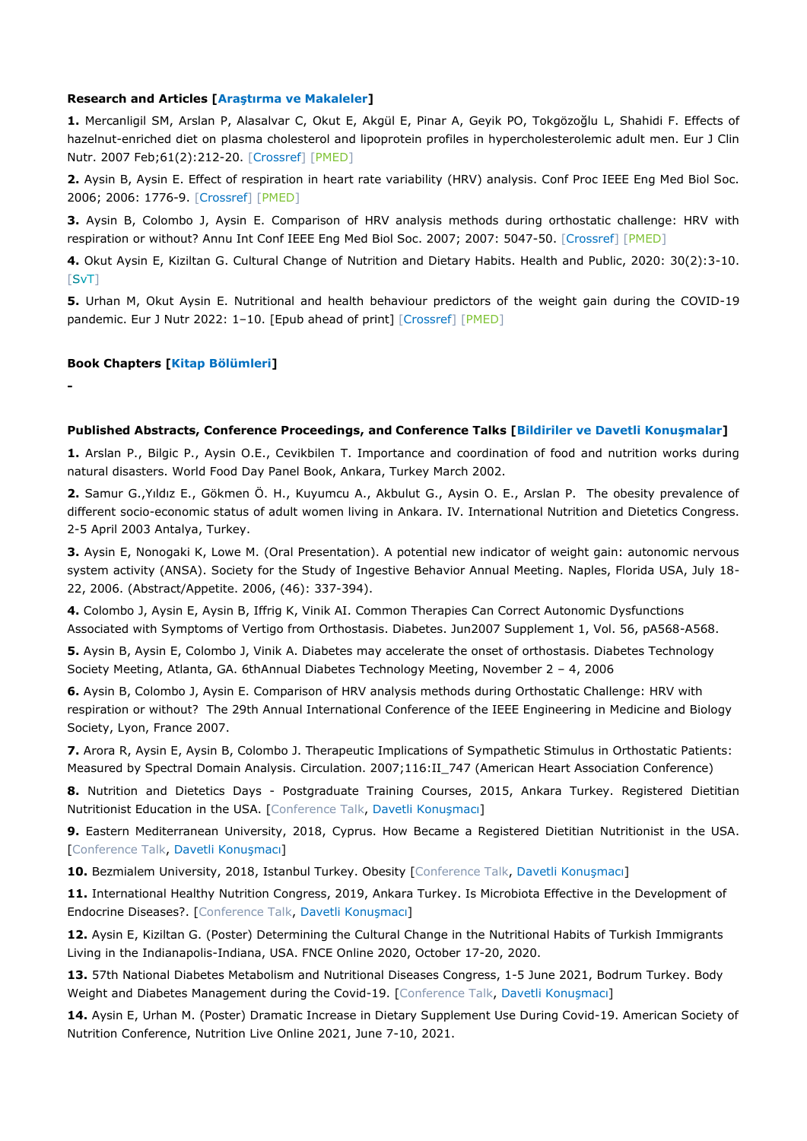#### **Research and Articles [Araştırma ve Makaleler]**

**1.** Mercanligil SM, Arslan P, Alasalvar C, Okut E, Akgül E, Pinar A, Geyik PO, Tokgözoğlu L, Shahidi F. Effects of hazelnut-enriched diet on plasma cholesterol and lipoprotein profiles in hypercholesterolemic adult men. Eur J Clin Nutr. 2007 Feb;61(2):212-20. [\[Crossref\]](https://doi.org/10.1038/sj.ejcn.1602518) [\[PMED\]](https://pubmed.ncbi.nlm.nih.gov/16969381/)

**2.** Aysin B, Aysin E. Effect of respiration in heart rate variability (HRV) analysis. Conf Proc IEEE Eng Med Biol Soc. 2006; 2006: 1776-9. [\[Crossref\]](https://doi.org/10.1109/IEMBS.2006.260773) [\[PMED\]](https://pubmed.ncbi.nlm.nih.gov/17946068/)

**3.** Aysin B, Colombo J, Aysin E. Comparison of HRV analysis methods during orthostatic challenge: HRV with respiration or without? Annu Int Conf IEEE Eng Med Biol Soc. 2007; 2007: 5047-50. [\[Crossref\]](https://doi.org/10.1109/IEMBS.2007.4353474) [\[PMED\]](https://pubmed.ncbi.nlm.nih.gov/18003140/)

**4.** Okut Aysin E, Kiziltan G. Cultural Change of Nutrition and Dietary Habits. Health and Public, 2020: 30(2):3-10.  $[SvT]$  $[SvT]$ 

**5.** Urhan M, Okut Aysin E. Nutritional and health behaviour predictors of the weight gain during the COVID-19 pandemic. Eur J Nutr 2022: 1-10. [Epub ahead of print] [\[Crossref\]](https://doi.org/10.1007/s00394-022-02862-7) [\[PMED\]](https://pubmed.ncbi.nlm.nih.gov/35322334/)

#### **Book Chapters [Kitap Bölümleri]**

**-**

#### **Published Abstracts, Conference Proceedings, and Conference Talks [Bildiriler ve Davetli Konuşmalar]**

**1.** Arslan P., Bilgic P., Aysin O.E., Cevikbilen T. Importance and coordination of food and nutrition works during natural disasters. World Food Day Panel Book, Ankara, Turkey March 2002.

**2.** Samur G.,Yıldız E., Gökmen Ö. H., Kuyumcu A., Akbulut G., Aysin O. E., Arslan P. The obesity prevalence of different socio-economic status of adult women living in Ankara. IV. International Nutrition and Dietetics Congress. 2-5 April 2003 Antalya, Turkey.

**3.** Aysin E, Nonogaki K, Lowe M. (Oral Presentation). A potential new indicator of weight gain: autonomic nervous system activity (ANSA). Society for the Study of Ingestive Behavior Annual Meeting. Naples, Florida USA, July 18- 22, 2006. (Abstract/Appetite. 2006, (46): 337-394).

**4.** Colombo J, Aysin E, Aysin B, Iffrig K, Vinik AI. Common Therapies Can Correct Autonomic Dysfunctions Associated with Symptoms of Vertigo from Orthostasis. Diabetes. Jun2007 Supplement 1, Vol. 56, pA568-A568.

**5.** Aysin B, Aysin E, Colombo J, Vinik A. Diabetes may accelerate the onset of orthostasis. Diabetes Technology Society Meeting, Atlanta, GA. 6thAnnual Diabetes Technology Meeting, November 2 – 4, 2006

**6.** Aysin B, Colombo J, Aysin E. Comparison of HRV analysis methods during Orthostatic Challenge: HRV with respiration or without? The 29th Annual International Conference of the IEEE Engineering in Medicine and Biology Society, Lyon, France 2007.

**7.** Arora R, Aysin E, Aysin B, Colombo J. Therapeutic Implications of Sympathetic Stimulus in Orthostatic Patients: Measured by Spectral Domain Analysis. Circulation. 2007;116:II\_747 (American Heart Association Conference)

**8.** Nutrition and Dietetics Days - Postgraduate Training Courses, 2015, Ankara Turkey. Registered Dietitian Nutritionist Education in the USA. [Conference Talk, Davetli Konuşmacı]

**9.** Eastern Mediterranean University, 2018, Cyprus. How Became a Registered Dietitian Nutritionist in the USA. [Conference Talk, Davetli Konuşmacı]

10. Bezmialem University, 2018, Istanbul Turkey. Obesity [Conference Talk, Davetli Konuşmacı]

**11.** International Healthy Nutrition Congress, 2019, Ankara Turkey. Is Microbiota Effective in the Development of Endocrine Diseases?. [Conference Talk, Davetli Konuşmacı]

**12.** Aysin E, Kiziltan G. (Poster) Determining the Cultural Change in the Nutritional Habits of Turkish Immigrants Living in the Indianapolis-Indiana, USA. FNCE Online 2020, October 17-20, 2020.

**13.** 57th National Diabetes Metabolism and Nutritional Diseases Congress, 1-5 June 2021, Bodrum Turkey. Body Weight and Diabetes Management during the Covid-19. [Conference Talk, Davetli Konuşmacı]

**14.** Aysin E, Urhan M. (Poster) Dramatic Increase in Dietary Supplement Use During Covid-19. American Society of Nutrition Conference, Nutrition Live Online 2021, June 7-10, 2021.